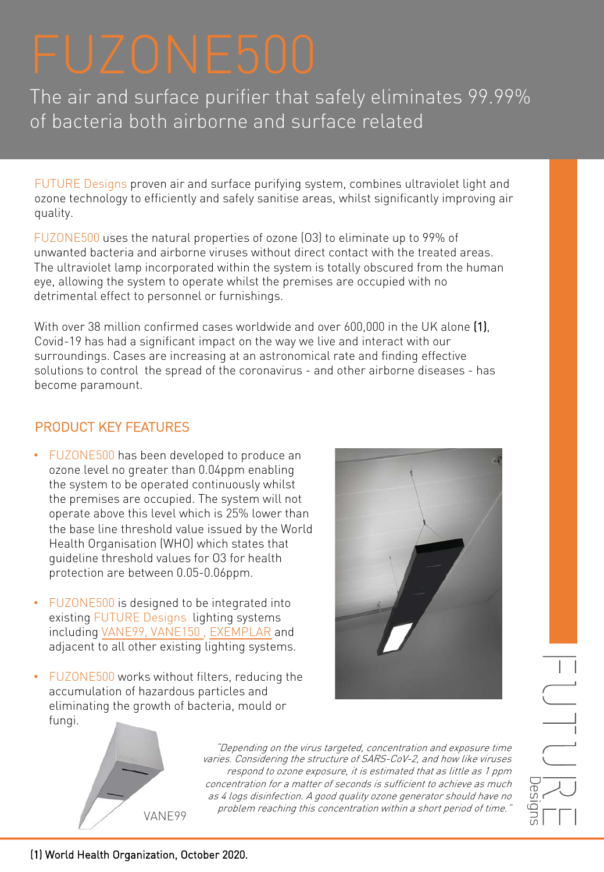The air and surface purifier that safely eliminates 99.99% of bacteria both airborne and surface related

FUTURE Designs proven air and surface purifying system, combines ultraviolet light and ozone technology to efficiently and safely sanitise areas, whilst significantly improving air quality.

FUZONE500 uses the natural properties of ozone (O3) to eliminate up to 99% of unwanted bacteria and airborne viruses without direct contact with the treated areas. The ultraviolet lamp incorporated within the system is totally obscured from the human eye, allowing the system to operate whilst the premises are occupied with no detrimental effect to personnel or furnishings.

With over 38 million confirmed cases worldwide and over 600,000 in the UK alone (1), Covid-19 has had a significant impact on the way we live and interact with our surroundings. Cases are increasing at an astronomical rate and finding effective solutions to control the spread of the coronavirus - and other airborne diseases - has become paramount.

# PRODUCT KEY FEATURES

- FUZONE500 has been developed to produce an ozone level no greater than 0.04ppm enabling the system to be operated continuously whilst the premises are occupied. The system will not operate above this level which is 25% lower than the base line threshold value issued by the World Health Organisation (WHO) which states that guideline threshold values for O3 for health protection are between 0.05-0.06ppm.
- FUZONE500 is designed to be integrated into existing FUTURE Designs lighting systems including [VANE99, VANE150 ,](https://www.futuredesigns.co.uk/products/recessed/vaner/) [EXEMPLAR](https://www.futuredesigns.co.uk/products/recessed/exemplar-2/) and adjacent to all other existing lighting systems.
- FUZONE500 works without filters, reducing the accumulation of hazardous particles and eliminating the growth of bacteria, mould or fungi.





"Depending on the virus targeted, concentration and exposure time varies. Considering the structure of SARS-CoV-2, and how like viruses respond to ozone exposure, it is estimated that as little as 1 ppm concentration for a matter of seconds is sufficient to achieve as much as 4 logs disinfection. A good quality ozone generator should have no problem reaching this concentration within a short period of time."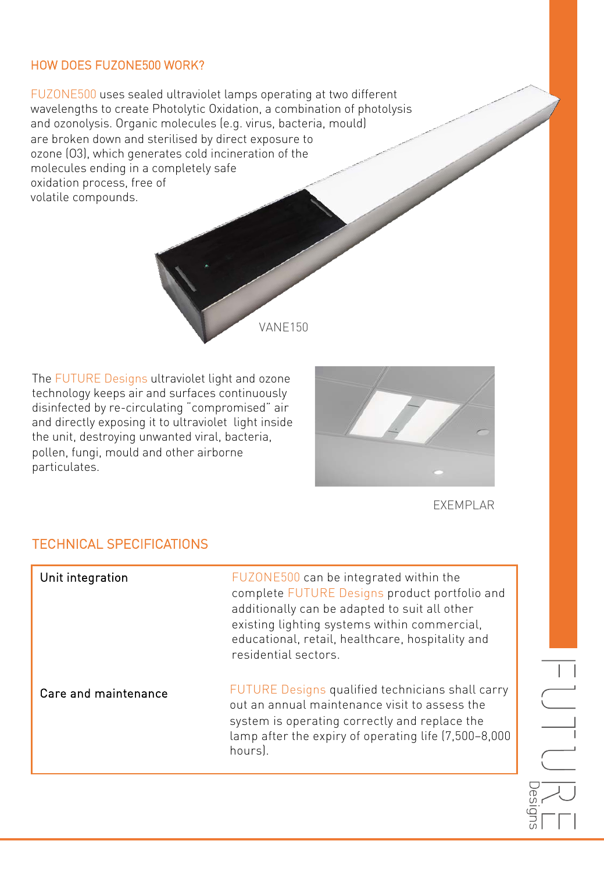#### HOW DOES FUZONE500 WORK?

FUZONE500 uses sealed ultraviolet lamps operating at two different wavelengths to create Photolytic Oxidation, a combination of photolysis and ozonolysis. Organic molecules (e.g. virus, bacteria, mould) are broken down and sterilised by direct exposure to ozone (O3), which generates cold incineration of the molecules ending in a completely safe oxidation process, free of volatile compounds.

The FUTURE Designs ultraviolet light and ozone technology keeps air and surfaces continuously disinfected by re-circulating "compromised" air and directly exposing it to ultraviolet light inside the unit, destroying unwanted viral, bacteria, pollen, fungi, mould and other airborne particulates.



EXEMPLAR

### TECHNICAL SPECIFICATIONS

| Unit integration     | FUZONE500 can be integrated within the<br>complete FUTURE Designs product portfolio and<br>additionally can be adapted to suit all other<br>existing lighting systems within commercial,<br>educational, retail, healthcare, hospitality and<br>residential sectors. |
|----------------------|----------------------------------------------------------------------------------------------------------------------------------------------------------------------------------------------------------------------------------------------------------------------|
| Care and maintenance | FUTURE Designs qualified technicians shall carry<br>out an annual maintenance visit to assess the<br>system is operating correctly and replace the<br>lamp after the expiry of operating life (7,500-8,000<br>hours).                                                |

VANE150

 $\overline{\phantom{a}}$